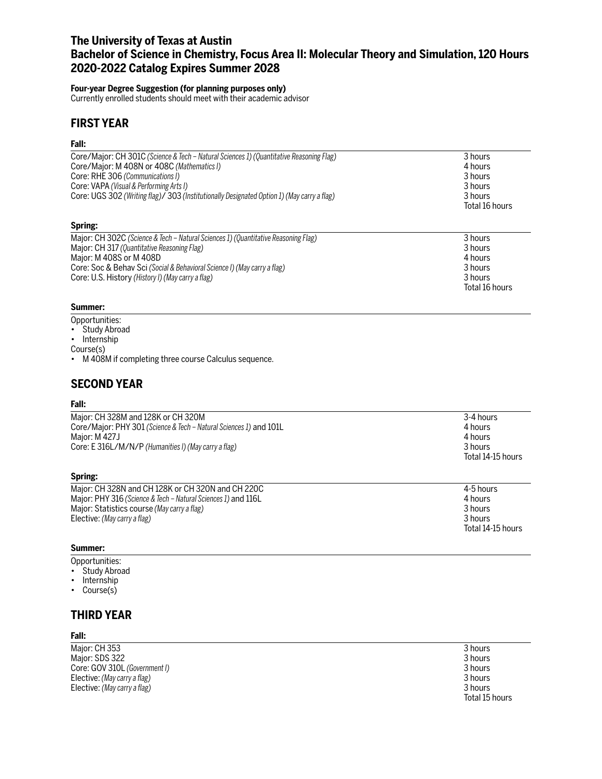## **The University of Texas at Austin Bachelor of Science in Chemistry, Focus Area II: Molecular Theory and Simulation, 120 Hours 2020-2022 Catalog Expires Summer 2028**

### **Four-year Degree Suggestion (for planning purposes only)**

Currently enrolled students should meet with their academic advisor

## **FIRST YEAR**

### **Fall:**

| Core/Major: CH 301C (Science & Tech - Natural Sciences 1) (Quantitative Reasoning Flag)    | 3 hours        |
|--------------------------------------------------------------------------------------------|----------------|
| Core/Major: M 408N or 408C (Mathematics I)                                                 | 4 hours        |
| Core: RHE 306 (Communications I)                                                           | 3 hours        |
| Core: VAPA (Visual & Performing Arts I)                                                    | 3 hours        |
| Core: UGS 302 (Writing flag)/ 303 (Institutionally Designated Option 1) (May carry a flag) | 3 hours        |
|                                                                                            | Total 16 hours |
|                                                                                            |                |
| Spring:                                                                                    |                |
| Major: CH 302C (Science & Tech – Natural Sciences 1) (Quantitative Reasoning Flag)         | 3 hours        |
| Major: CH 317 (Quantitative Reasoning Flag)                                                | 3 hours        |
| Major: M 408S or M 408D                                                                    | 4 hours        |
| Core: Soc & Behav Sci (Social & Behavioral Science I) (May carry a flag)                   | 3 hours        |

Core: U.S. History *(History I) (May carry a flag)* 3 hours

### **Summer:**

- Opportunities:
- Study Abroad
- Internship

Course(s)

• M 408M if completing three course Calculus sequence.

# **SECOND YEAR**

### **Fall:**

| Major: CH 328M and 128K or CH 320M<br>Core/Major: PHY 301 (Science & Tech - Natural Sciences 1) and 101L<br>Major: M 427J | 3-4 hours<br>4 hours<br>4 hours |
|---------------------------------------------------------------------------------------------------------------------------|---------------------------------|
| Core: E 316L/M/N/P (Humanities I) (May carry a flag)                                                                      | 3 hours<br>Total 14-15 hours    |
| Spring:                                                                                                                   |                                 |
| Moier: CH 220N and CH 120K as CH 220N and CH 220C                                                                         | $\sqrt{2}$ E hours              |

| Maior: CH 328N and CH 128K or CH 320N and CH 220C             | 4-5 hours         |
|---------------------------------------------------------------|-------------------|
| Major: PHY 316 (Science & Tech – Natural Sciences 1) and 116L | 4 hours           |
| Maior: Statistics course (May carry a flag)                   | 3 hours           |
| Elective: (May carry a flag)                                  | 3 hours           |
|                                                               | Total 14-15 hours |

### **Summer:**

Opportunities:

- Study Abroad
- Internship
- Course(s)

### **THIRD YEAR**

### **Fall:**

Major: CH 353 3 hours<br>
Major: SDS 322 3 hours<br>
3 hours Major: SDS 322 3 hours<br>Core: GOV 310L (Government I) 3 hours Core: GOV 310L *(Government I)* 3 hours<br>
Elective: *(Mav carry a flag)* 3 3 0 3 hours Elective: *(May carry a flag)* Elective: *(May carry a flag)* 3 hours

Total 15 hours

Total 16 hours